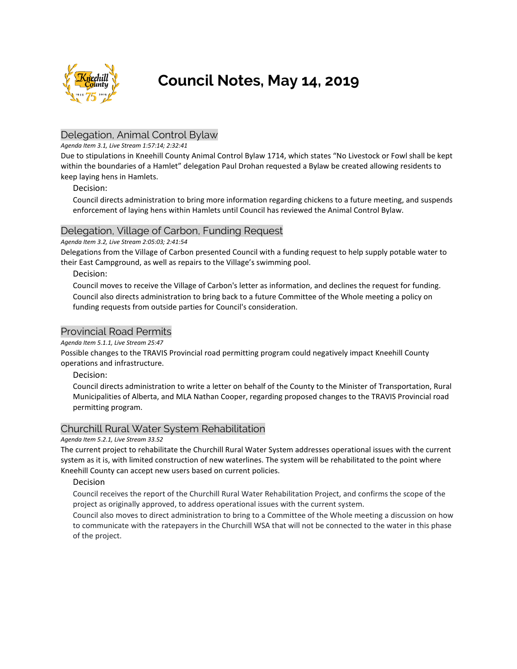

# **Council Notes, May 14, 2019**

# Delegation, Animal Control Bylaw

#### *Agenda Item 3.1, Live Stream 1:57:14; 2:32:41*

Due to stipulations in Kneehill County Animal Control Bylaw 1714, which states "No Livestock or Fowl shall be kept within the boundaries of a Hamlet" delegation Paul Drohan requested a Bylaw be created allowing residents to keep laying hens in Hamlets.

# Decision:

Council directs administration to bring more information regarding chickens to a future meeting, and suspends enforcement of laying hens within Hamlets until Council has reviewed the Animal Control Bylaw.

# Delegation, Village of Carbon, Funding Request

#### *Agenda Item 3.2, Live Stream 2:05:03; 2:41:54*

Delegations from the Village of Carbon presented Council with a funding request to help supply potable water to their East Campground, as well as repairs to the Village's swimming pool.

## Decision:

Council moves to receive the Village of Carbon's letter as information, and declines the request for funding. Council also directs administration to bring back to a future Committee of the Whole meeting a policy on funding requests from outside parties for Council's consideration.

# Provincial Road Permits

#### *Agenda Item 5.1.1, Live Stream 25:47*

Possible changes to the TRAVIS Provincial road permitting program could negatively impact Kneehill County operations and infrastructure.

## Decision:

Council directs administration to write a letter on behalf of the County to the Minister of Transportation, Rural Municipalities of Alberta, and MLA Nathan Cooper, regarding proposed changes to the TRAVIS Provincial road permitting program.

# Churchill Rural Water System Rehabilitation

#### *Agenda Item 5.2.1, Live Stream 33.52*

The current project to rehabilitate the Churchill Rural Water System addresses operational issues with the current system as it is, with limited construction of new waterlines. The system will be rehabilitated to the point where Kneehill County can accept new users based on current policies.

# Decision

Council receives the report of the Churchill Rural Water Rehabilitation Project, and confirms the scope of the project as originally approved, to address operational issues with the current system.

Council also moves to direct administration to bring to a Committee of the Whole meeting a discussion on how to communicate with the ratepayers in the Churchill WSA that will not be connected to the water in this phase of the project.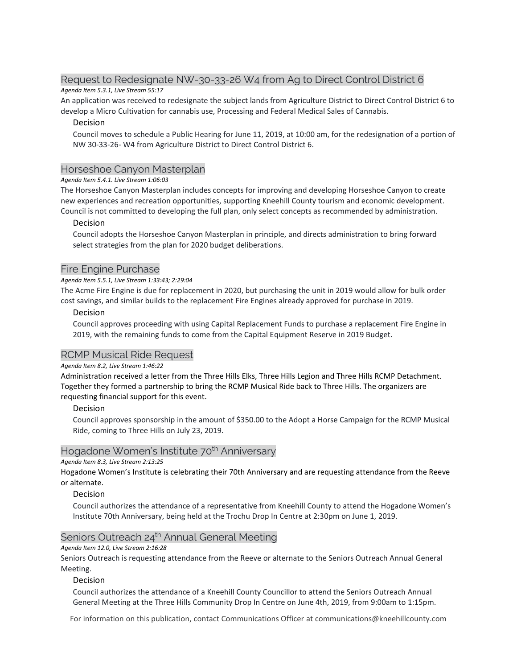# Request to Redesignate NW-30-33-26 W4 from Ag to Direct Control District 6

# *Agenda Item 5.3.1, Live Stream 55:17*

An application was received to redesignate the subject lands from Agriculture District to Direct Control District 6 to develop a Micro Cultivation for cannabis use, Processing and Federal Medical Sales of Cannabis.

# Decision

Council moves to schedule a Public Hearing for June 11, 2019, at 10:00 am, for the redesignation of a portion of NW 30-33-26- W4 from Agriculture District to Direct Control District 6.

# Horseshoe Canyon Masterplan

# *Agenda Item 5.4.1. Live Stream 1:06:03*

The Horseshoe Canyon Masterplan includes concepts for improving and developing Horseshoe Canyon to create new experiences and recreation opportunities, supporting Kneehill County tourism and economic development. Council is not committed to developing the full plan, only select concepts as recommended by administration.

# Decision

Council adopts the Horseshoe Canyon Masterplan in principle, and directs administration to bring forward select strategies from the plan for 2020 budget deliberations.

# Fire Engine Purchase

## *Agenda Item 5.5.1, Live Stream 1:33:43; 2:29:04*

The Acme Fire Engine is due for replacement in 2020, but purchasing the unit in 2019 would allow for bulk order cost savings, and similar builds to the replacement Fire Engines already approved for purchase in 2019.

# Decision

Council approves proceeding with using Capital Replacement Funds to purchase a replacement Fire Engine in 2019, with the remaining funds to come from the Capital Equipment Reserve in 2019 Budget.

# RCMP Musical Ride Request

## *Agenda Item 8.2, Live Stream 1:46:22*

Administration received a letter from the Three Hills Elks, Three Hills Legion and Three Hills RCMP Detachment. Together they formed a partnership to bring the RCMP Musical Ride back to Three Hills. The organizers are requesting financial support for this event.

## Decision

Council approves sponsorship in the amount of \$350.00 to the Adopt a Horse Campaign for the RCMP Musical Ride, coming to Three Hills on July 23, 2019.

# Hogadone Women's Institute 70<sup>th</sup> Anniversary

## *Agenda Item 8.3, Live Stream 2:13:25*

Hogadone Women's Institute is celebrating their 70th Anniversary and are requesting attendance from the Reeve or alternate.

## Decision

Council authorizes the attendance of a representative from Kneehill County to attend the Hogadone Women's Institute 70th Anniversary, being held at the Trochu Drop In Centre at 2:30pm on June 1, 2019.

# Seniors Outreach 24<sup>th</sup> Annual General Meeting

## *Agenda Item 12.0, Live Stream 2:16:28*

Seniors Outreach is requesting attendance from the Reeve or alternate to the Seniors Outreach Annual General Meeting.

## Decision

Council authorizes the attendance of a Kneehill County Councillor to attend the Seniors Outreach Annual General Meeting at the Three Hills Community Drop In Centre on June 4th, 2019, from 9:00am to 1:15pm.

For information on this publication, contact Communications Officer at communications@kneehillcounty.com